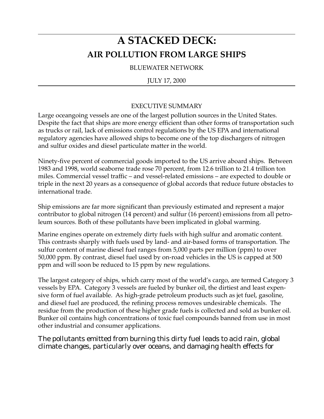# **A STACKED DECK: AIR POLLUTION FROM LARGE SHIPS**

BLUEWATER NETWORK

# JULY 17, 2000

# EXECUTIVE SUMMARY

Large oceangoing vessels are one of the largest pollution sources in the United States. Despite the fact that ships are more energy efficient than other forms of transportation such as trucks or rail, lack of emissions control regulations by the US EPA and international regulatory agencies have allowed ships to become one of the top dischargers of nitrogen and sulfur oxides and diesel particulate matter in the world.

Ninety-five percent of commercial goods imported to the US arrive aboard ships. Between 1983 and 1998, world seaborne trade rose 70 percent, from 12.6 trillion to 21.4 trillion ton miles. Commercial vessel traffic – and vessel-related emissions – are expected to double or triple in the next 20 years as a consequence of global accords that reduce future obstacles to international trade.

Ship emissions are far more significant than previously estimated and represent a major contributor to global nitrogen (14 percent) and sulfur (16 percent) emissions from all petroleum sources. Both of these pollutants have been implicated in global warming.

Marine engines operate on extremely dirty fuels with high sulfur and aromatic content. This contrasts sharply with fuels used by land- and air-based forms of transportation. The sulfur content of marine diesel fuel ranges from 5,000 parts per million (ppm) to over 50,000 ppm. By contrast, diesel fuel used by on-road vehicles in the US is capped at 500 ppm and will soon be reduced to 15 ppm by new regulations.

The largest category of ships, which carry most of the world's cargo, are termed Category 3 vessels by EPA. Category 3 vessels are fueled by bunker oil, the dirtiest and least expensive form of fuel available. As high-grade petroleum products such as jet fuel, gasoline, and diesel fuel are produced, the refining process removes undesirable chemicals. The residue from the production of these higher grade fuels is collected and sold as bunker oil. Bunker oil contains high concentrations of toxic fuel compounds banned from use in most other industrial and consumer applications.

The pollutants emitted from burning this dirty fuel leads to acid rain, global climate changes, particularly over oceans, and damaging health effects for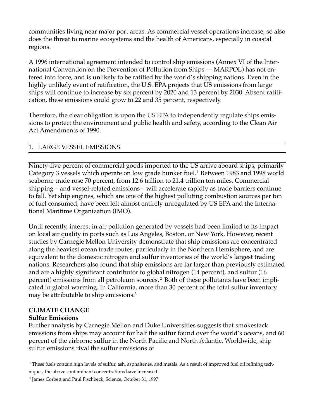communities living near major port areas. As commercial vessel operations increase, so also does the threat to marine ecosystems and the health of Americans, especially in coastal regions.

A 1996 international agreement intended to control ship emissions (Annex VI of the International Convention on the Prevention of Pollution from Ships — MARPOL) has not entered into force, and is unlikely to be ratified by the world's shipping nations. Even in the highly unlikely event of ratification, the U.S. EPA projects that US emissions from large ships will continue to increase by six percent by 2020 and 13 percent by 2030. Absent ratification, these emissions could grow to 22 and 35 percent, respectively.

Therefore, the clear obligation is upon the US EPA to independently regulate ships emissions to protect the environment and public health and safety, according to the Clean Air Act Amendments of 1990.

# 1. LARGE VESSEL EMISSIONS

Ninety-five percent of commercial goods imported to the US arrive aboard ships, primarily Category 3 vessels which operate on low grade bunker fuel.<sup>1</sup> Between 1983 and 1998 world seaborne trade rose 70 percent, from 12.6 trillion to 21.4 trillion ton miles. Commercial shipping – and vessel-related emissions – will accelerate rapidly as trade barriers continue to fall. Yet ship engines, which are one of the highest polluting combustion sources per ton of fuel consumed, have been left almost entirely unregulated by US EPA and the International Maritime Organization (IMO).

Until recently, interest in air pollution generated by vessels had been limited to its impact on local air quality in ports such as Los Angeles, Boston, or New York. However, recent studies by Carnegie Mellon University demonstrate that ship emissions are concentrated along the heaviest ocean trade routes, particularly in the Northern Hemisphere, and are equivalent to the domestic nitrogen and sulfur inventories of the world's largest trading nations. Researchers also found that ship emissions are far larger than previously estimated and are a highly significant contributor to global nitrogen (14 percent), and sulfur (16 percent) emissions from all petroleum sources. 2 Both of these pollutants have been implicated in global warming. In California, more than 30 percent of the total sulfur inventory may be attributable to ship emissions.<sup>3</sup>

# **CLIMATE CHANGE**

# **Sulfur Emissions**

Further analysis by Carnegie Mellon and Duke Universities suggests that smokestack emissions from ships may account for half the sulfur found over the world's oceans, and 60 percent of the airborne sulfur in the North Pacific and North Atlantic. Worldwide, ship sulfur emissions rival the sulfur emissions of

<sup>1</sup> These fuels contain high levels of sulfur, ash, asphaltenes, and metals. As a result of improved fuel oil refining techniques, the above contaminant concentrations have increased.

<sup>2</sup> James Corbett and Paul Fischbeck, Science, October 31, 1997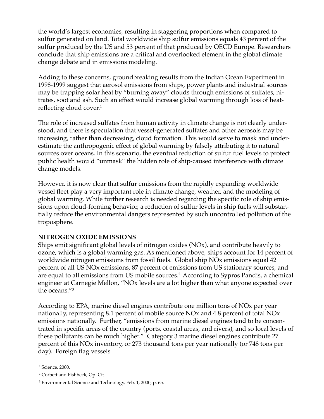the world's largest economies, resulting in staggering proportions when compared to sulfur generated on land. Total worldwide ship sulfur emissions equals 43 percent of the sulfur produced by the US and 53 percent of that produced by OECD Europe. Researchers conclude that ship emissions are a critical and overlooked element in the global climate change debate and in emissions modeling.

Adding to these concerns, groundbreaking results from the Indian Ocean Experiment in 1998-1999 suggest that aerosol emissions from ships, power plants and industrial sources may be trapping solar heat by "burning away" clouds through emissions of sulfates, nitrates, soot and ash. Such an effect would increase global warming through loss of heatreflecting cloud cover.<sup>1</sup>

The role of increased sulfates from human activity in climate change is not clearly understood, and there is speculation that vessel-generated sulfates and other aerosols may be increasing, rather than decreasing, cloud formation. This would serve to mask and underestimate the anthropogenic effect of global warming by falsely attributing it to natural sources over oceans. In this scenario, the eventual reduction of sulfur fuel levels to protect public health would "unmask" the hidden role of ship-caused interference with climate change models.

However, it is now clear that sulfur emissions from the rapidly expanding worldwide vessel fleet play a very important role in climate change, weather, and the modeling of global warming. While further research is needed regarding the specific role of ship emissions upon cloud-forming behavior, a reduction of sulfur levels in ship fuels will substantially reduce the environmental dangers represented by such uncontrolled pollution of the troposphere.

# **NITROGEN OXIDE EMISSIONS**

Ships emit significant global levels of nitrogen oxides (NOx), and contribute heavily to ozone, which is a global warming gas. As mentioned above, ships account for 14 percent of worldwide nitrogen emissions from fossil fuels. Global ship NOx emissions equal 42 percent of all US NOx emissions, 87 percent of emissions from US stationary sources, and are equal to all emissions from US mobile sources.<sup>2</sup> According to Sypros Pandis, a chemical engineer at Carnegie Mellon, "NOx levels are a lot higher than what anyone expected over the oceans."3

According to EPA, marine diesel engines contribute one million tons of NOx per year nationally, representing 8.1 percent of mobile source NOx and 4.8 percent of total NOx emissions nationally. Further, "emissions from marine diesel engines tend to be concentrated in specific areas of the country (ports, coastal areas, and rivers), and so local levels of these pollutants can be much higher." Category 3 marine diesel engines contribute 27 percent of this NOx inventory, or 273 thousand tons per year nationally (or 748 tons per day). Foreign flag vessels

<sup>1</sup> Science, 2000.

<sup>2</sup> Corbett and Fishbeck, Op. Cit.

<sup>3</sup> Environmental Science and Technology, Feb. 1, 2000, p. 65.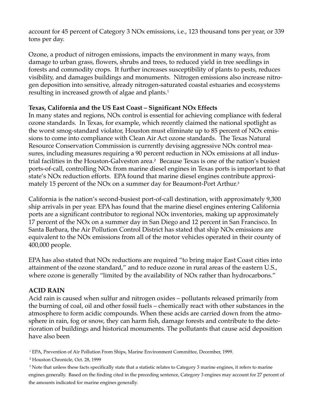account for 45 percent of Category 3 NOx emissions, i.e., 123 thousand tons per year, or 339 tons per day.

Ozone, a product of nitrogen emissions, impacts the environment in many ways, from damage to urban grass, flowers, shrubs and trees, to reduced yield in tree seedlings in forests and commodity crops. It further increases susceptibility of plants to pests, reduces visibility, and damages buildings and monuments. Nitrogen emissions also increase nitrogen deposition into sensitive, already nitrogen-saturated coastal estuaries and ecosystems resulting in increased growth of algae and plants.<sup>1</sup>

# **Texas, California and the US East Coast – Significant NOx Effects**

In many states and regions, NOx control is essential for achieving compliance with federal ozone standards. In Texas, for example, which recently claimed the national spotlight as the worst smog-standard violator, Houston must eliminate up to 85 percent of NOx emissions to come into compliance with Clean Air Act ozone standards. The Texas Natural Resource Conservation Commission is currently devising aggressive NOx control measures, including measures requiring a 90 percent reduction in NOx emissions at all industrial facilities in the Houston-Galveston area.2 Because Texas is one of the nation's busiest ports-of-call, controlling NOx from marine diesel engines in Texas ports is important to that state's NOx reduction efforts. EPA found that marine diesel engines contribute approximately 15 percent of the NOx on a summer day for Beaumont-Port Arthur.<sup>3</sup>

California is the nation's second-busiest port-of-call destination, with approximately 9,300 ship arrivals in per year. EPA has found that the marine diesel engines entering California ports are a significant contributor to regional NOx inventories, making up approximately 17 percent of the NOx on a summer day in San Diego and 12 percent in San Francisco. In Santa Barbara, the Air Pollution Control District has stated that ship NOx emissions are equivalent to the NOx emissions from all of the motor vehicles operated in their county of 400,000 people.

EPA has also stated that NOx reductions are required "to bring major East Coast cities into attainment of the ozone standard," and to reduce ozone in rural areas of the eastern U.S., where ozone is generally "limited by the availability of NOx rather than hydrocarbons."

# **ACID RAIN**

Acid rain is caused when sulfur and nitrogen oxides – pollutants released primarily from the burning of coal, oil and other fossil fuels – chemically react with other substances in the atmosphere to form acidic compounds. When these acids are carried down from the atmosphere in rain, fog or snow, they can harm fish, damage forests and contribute to the deterioration of buildings and historical monuments. The pollutants that cause acid deposition have also been

1 EPA, Prevention of Air Pollution From Ships, Marine Environment Committee, December, 1999.

<sup>2</sup> Houston Chronicle, Oct. 28, 1999

 $^3$  Note that unless these facts specifically state that a statistic relates to Category 3 marine engines, it refers to marine engines generally. Based on the finding cited in the preceding sentence, Category 3 engines may account for 27 percent of the amounts indicated for marine engines generally.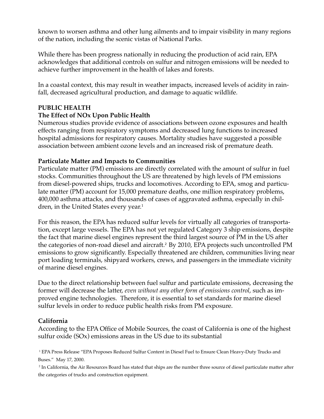known to worsen asthma and other lung ailments and to impair visibility in many regions of the nation, including the scenic vistas of National Parks.

While there has been progress nationally in reducing the production of acid rain, EPA acknowledges that additional controls on sulfur and nitrogen emissions will be needed to achieve further improvement in the health of lakes and forests.

In a coastal context, this may result in weather impacts, increased levels of acidity in rainfall, decreased agricultural production, and damage to aquatic wildlife.

## **PUBLIC HEALTH**

## **The Effect of NOx Upon Public Health**

Numerous studies provide evidence of associations between ozone exposures and health effects ranging from respiratory symptoms and decreased lung functions to increased hospital admissions for respiratory causes. Mortality studies have suggested a possible association between ambient ozone levels and an increased risk of premature death.

## **Particulate Matter and Impacts to Communities**

Particulate matter (PM) emissions are directly correlated with the amount of sulfur in fuel stocks. Communities throughout the US are threatened by high levels of PM emissions from diesel-powered ships, trucks and locomotives. According to EPA, smog and particulate matter (PM) account for 15,000 premature deaths, one million respiratory problems, 400,000 asthma attacks, and thousands of cases of aggravated asthma, especially in children, in the United States every year.<sup>1</sup>

For this reason, the EPA has reduced sulfur levels for virtually all categories of transportation, except large vessels. The EPA has not yet regulated Category 3 ship emissions, despite the fact that marine diesel engines represent the third largest source of PM in the US after the categories of non-road diesel and aircraft.<sup>2</sup> By 2010, EPA projects such uncontrolled PM emissions to grow significantly. Especially threatened are children, communities living near port loading terminals, shipyard workers, crews, and passengers in the immediate vicinity of marine diesel engines.

Due to the direct relationship between fuel sulfur and particulate emissions, decreasing the former will decrease the latter, *even without any other form of emissions control*, such as improved engine technologies. Therefore, it is essential to set standards for marine diesel sulfur levels in order to reduce public health risks from PM exposure.

#### **California**

According to the EPA Office of Mobile Sources, the coast of California is one of the highest sulfur oxide (SOx) emissions areas in the US due to its substantial

1 EPA Press Release "EPA Proposes Reduced Sulfur Content in Diesel Fuel to Ensure Clean Heavy-Duty Trucks and Buses." May 17, 2000.

2 In California, the Air Resources Board has stated that ships are the number three source of diesel particulate matter after the categories of trucks and construction equipment.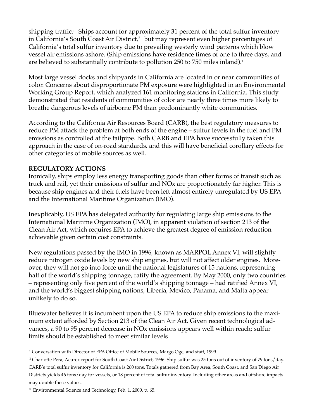shipping traffic.<sup>1</sup> Ships account for approximately 31 percent of the total sulfur inventory in California's South Coast Air District,<sup>2</sup> but may represent even higher percentages of California's total sulfur inventory due to prevailing westerly wind patterns which blow vessel air emissions ashore. (Ship emissions have residence times of one to three days, and are believed to substantially contribute to pollution 250 to 750 miles inland).<sup>3</sup>

Most large vessel docks and shipyards in California are located in or near communities of color. Concerns about disproportionate PM exposure were highlighted in an Environmental Working Group Report, which analyzed 161 monitoring stations in California. This study demonstrated that residents of communities of color are nearly three times more likely to breathe dangerous levels of airborne PM than predominantly white communities.

According to the California Air Resources Board (CARB), the best regulatory measures to reduce PM attack the problem at both ends of the engine – sulfur levels in the fuel and PM emissions as controlled at the tailpipe. Both CARB and EPA have successfully taken this approach in the case of on-road standards, and this will have beneficial corollary effects for other categories of mobile sources as well.

# **REGULATORY ACTIONS**

Ironically, ships employ less energy transporting goods than other forms of transit such as truck and rail, yet their emissions of sulfur and NOx are proportionately far higher. This is because ship engines and their fuels have been left almost entirely unregulated by US EPA and the International Maritime Organization (IMO).

Inexplicably, US EPA has delegated authority for regulating large ship emissions to the International Maritime Organization (IMO), in apparent violation of section 213 of the Clean Air Act, which requires EPA to achieve the greatest degree of emission reduction achievable given certain cost constraints.

New regulations passed by the IMO in 1996, known as MARPOL Annex VI, will slightly reduce nitrogen oxide levels by new ship engines, but will not affect older engines. Moreover, they will not go into force until the national legislatures of 15 nations, representing half of the world's shipping tonnage, ratify the agreement. By May 2000, only two countries – representing only five percent of the world's shipping tonnage – had ratified Annex VI, and the world's biggest shipping nations, Liberia, Mexico, Panama, and Malta appear unlikely to do so.

Bluewater believes it is incumbent upon the US EPA to reduce ship emissions to the maximum extent afforded by Section 213 of the Clean Air Act. Given recent technological advances, a 90 to 95 percent decrease in NOx emissions appears well within reach; sulfur limits should be established to meet similar levels

<sup>1</sup> Conversation with Director of EPA Office of Mobile Sources, Margo Oge, and staff, 1999.

<sup>2</sup> Charlotte Pera, Acurex report for South Coast Air District, 1996. Ship sulfur was 25 tons out of inventory of 79 tons/day. CARB's total sulfur inventory for California is 260 tons. Totals gathered from Bay Area, South Coast, and San Diego Air Districts yields 46 tons/day for vessels, or 18 percent of total sulfur inventory. Including other areas and offshore impacts may double these values.

<sup>3</sup> Environmental Science and Technology, Feb. 1, 2000, p. 65.